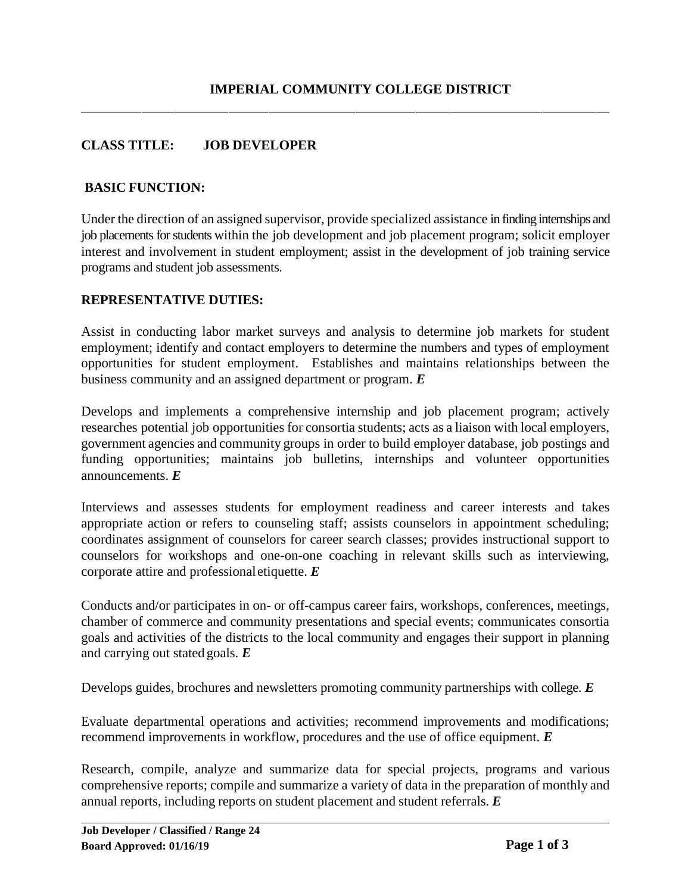## **CLASS TITLE: JOB DEVELOPER**

#### **BASIC FUNCTION:**

Under the direction of an assigned supervisor, provide specialized assistance in finding internships and job placements for students within the job development and job placement program; solicit employer interest and involvement in student employment; assist in the development of job training service programs and student job assessments.

#### **REPRESENTATIVE DUTIES:**

Assist in conducting labor market surveys and analysis to determine job markets for student employment; identify and contact employers to determine the numbers and types of employment opportunities for student employment. Establishes and maintains relationships between the business community and an assigned department or program. *E*

Develops and implements a comprehensive internship and job placement program; actively researches potential job opportunities for consortia students; acts as a liaison with local employers, government agencies and community groups in order to build employer database, job postings and funding opportunities; maintains job bulletins, internships and volunteer opportunities announcements. *E*

Interviews and assesses students for employment readiness and career interests and takes appropriate action or refers to counseling staff; assists counselors in appointment scheduling; coordinates assignment of counselors for career search classes; provides instructional support to counselors for workshops and one-on-one coaching in relevant skills such as interviewing, corporate attire and professionaletiquette. *E*

Conducts and/or participates in on- or off-campus career fairs, workshops, conferences, meetings, chamber of commerce and community presentations and special events; communicates consortia goals and activities of the districts to the local community and engages their support in planning and carrying out stated goals. *E*

Develops guides, brochures and newsletters promoting community partnerships with college. *E*

Evaluate departmental operations and activities; recommend improvements and modifications; recommend improvements in workflow, procedures and the use of office equipment. *E*

Research, compile, analyze and summarize data for special projects, programs and various comprehensive reports; compile and summarize a variety of data in the preparation of monthly and annual reports, including reports on student placement and student referrals. *E*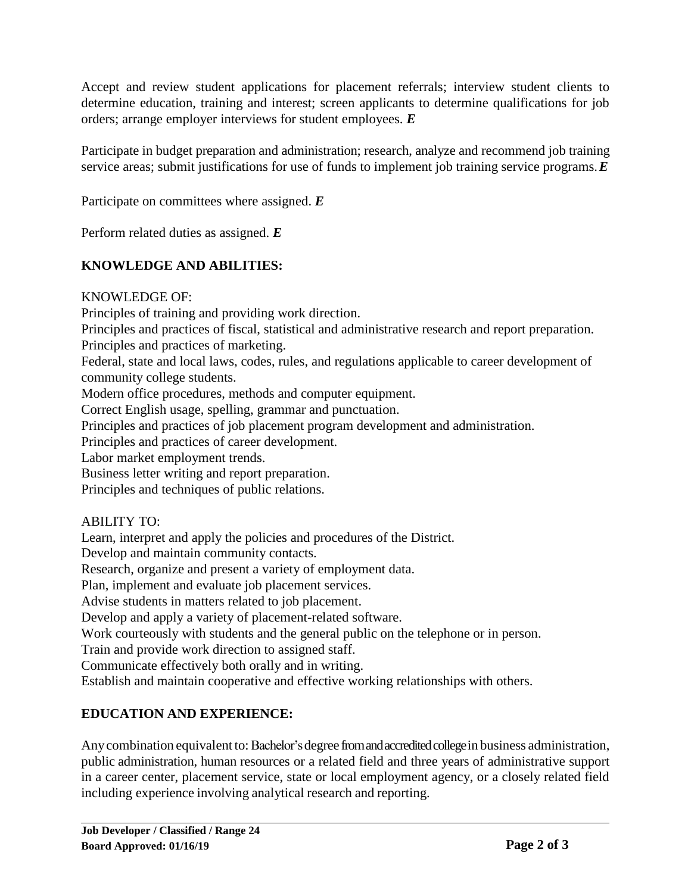Accept and review student applications for placement referrals; interview student clients to determine education, training and interest; screen applicants to determine qualifications for job orders; arrange employer interviews for student employees. *E*

Participate in budget preparation and administration; research, analyze and recommend job training service areas; submit justifications for use of funds to implement job training service programs.*E*

Participate on committees where assigned. *E*

Perform related duties as assigned. *E*

## **KNOWLEDGE AND ABILITIES:**

KNOWLEDGE OF:

Principles of training and providing work direction.

Principles and practices of fiscal, statistical and administrative research and report preparation. Principles and practices of marketing.

Federal, state and local laws, codes, rules, and regulations applicable to career development of community college students.

Modern office procedures, methods and computer equipment.

Correct English usage, spelling, grammar and punctuation.

Principles and practices of job placement program development and administration.

Principles and practices of career development.

Labor market employment trends.

Business letter writing and report preparation.

Principles and techniques of public relations.

## ABILITY TO:

Learn, interpret and apply the policies and procedures of the District.

Develop and maintain community contacts.

Research, organize and present a variety of employment data.

Plan, implement and evaluate job placement services.

Advise students in matters related to job placement.

Develop and apply a variety of placement-related software.

Work courteously with students and the general public on the telephone or in person.

Train and provide work direction to assigned staff.

Communicate effectively both orally and in writing.

Establish and maintain cooperative and effective working relationships with others.

# **EDUCATION AND EXPERIENCE:**

Any combination equivalent to: Bachelor's degree from and accredited college in business administration, public administration, human resources or a related field and three years of administrative support in a career center, placement service, state or local employment agency, or a closely related field including experience involving analytical research and reporting.